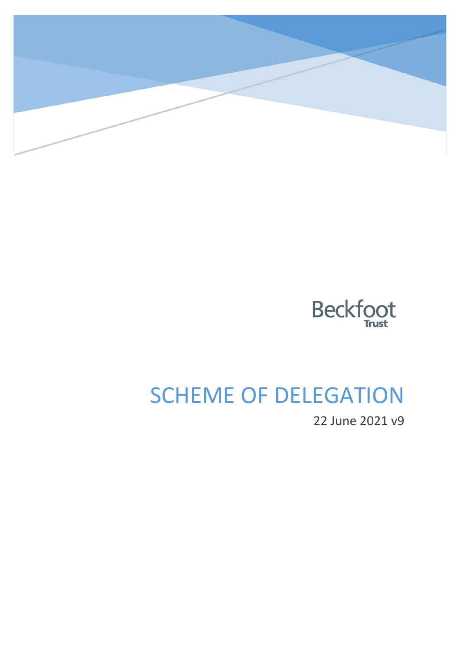



# SCHEME OF DELEGATION

22 June 2021 v9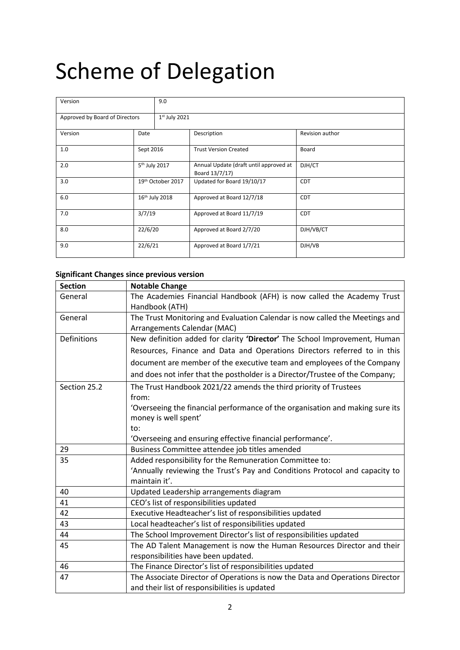# Scheme of Delegation

| Version                        |                            | 9.0             |                                                          |                 |  |  |
|--------------------------------|----------------------------|-----------------|----------------------------------------------------------|-----------------|--|--|
| Approved by Board of Directors |                            | $1st$ July 2021 |                                                          |                 |  |  |
| Version                        | Date                       |                 | Description                                              | Revision author |  |  |
| 1.0                            | Sept 2016                  |                 | <b>Trust Version Created</b>                             | Board           |  |  |
| 2.0                            | 5 <sup>th</sup> July 2017  |                 | Annual Update (draft until approved at<br>Board 13/7/17) | DJH/CT          |  |  |
| 3.0                            | 19th October 2017          |                 | Updated for Board 19/10/17                               | <b>CDT</b>      |  |  |
| 6.0                            | 16 <sup>th</sup> July 2018 |                 | Approved at Board 12/7/18                                | <b>CDT</b>      |  |  |
| 7.0                            | 3/7/19                     |                 | Approved at Board 11/7/19                                | <b>CDT</b>      |  |  |
| 8.0                            | 22/6/20                    |                 | Approved at Board 2/7/20                                 | DJH/VB/CT       |  |  |
| 9.0                            | 22/6/21                    |                 | Approved at Board 1/7/21                                 | DJH/VB          |  |  |

### **Significant Changes since previous version**

| <b>Section</b> | <b>Notable Change</b>                                                                        |
|----------------|----------------------------------------------------------------------------------------------|
| General        | The Academies Financial Handbook (AFH) is now called the Academy Trust                       |
|                | Handbook (ATH)                                                                               |
| General        | The Trust Monitoring and Evaluation Calendar is now called the Meetings and                  |
|                | Arrangements Calendar (MAC)                                                                  |
| Definitions    | New definition added for clarity 'Director' The School Improvement, Human                    |
|                | Resources, Finance and Data and Operations Directors referred to in this                     |
|                | document are member of the executive team and employees of the Company                       |
|                | and does not infer that the postholder is a Director/Trustee of the Company;                 |
| Section 25.2   | The Trust Handbook 2021/22 amends the third priority of Trustees                             |
|                | from:                                                                                        |
|                | 'Overseeing the financial performance of the organisation and making sure its                |
|                | money is well spent'                                                                         |
|                | to:                                                                                          |
|                | 'Overseeing and ensuring effective financial performance'.                                   |
| 29             | Business Committee attendee job titles amended                                               |
| 35             | Added responsibility for the Remuneration Committee to:                                      |
|                | 'Annually reviewing the Trust's Pay and Conditions Protocol and capacity to<br>maintain it'. |
| 40             | Updated Leadership arrangements diagram                                                      |
| 41             | CEO's list of responsibilities updated                                                       |
| 42             | Executive Headteacher's list of responsibilities updated                                     |
| 43             | Local headteacher's list of responsibilities updated                                         |
| 44             | The School Improvement Director's list of responsibilities updated                           |
| 45             | The AD Talent Management is now the Human Resources Director and their                       |
|                | responsibilities have been updated.                                                          |
| 46             | The Finance Director's list of responsibilities updated                                      |
| 47             | The Associate Director of Operations is now the Data and Operations Director                 |
|                | and their list of responsibilities is updated                                                |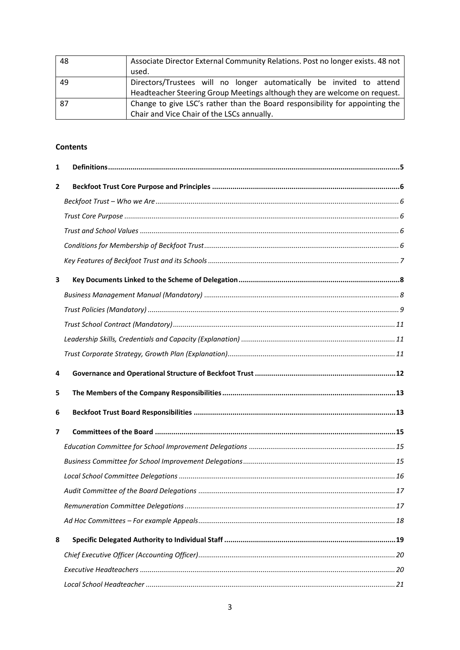| 48 | Associate Director External Community Relations. Post no longer exists. 48 not |  |  |  |
|----|--------------------------------------------------------------------------------|--|--|--|
|    | used.                                                                          |  |  |  |
| 49 | Directors/Trustees will no longer automatically be invited to attend           |  |  |  |
|    | Headteacher Steering Group Meetings although they are welcome on request.      |  |  |  |
| 87 | Change to give LSC's rather than the Board responsibility for appointing the   |  |  |  |
|    | Chair and Vice Chair of the LSCs annually.                                     |  |  |  |

### **Contents**

| 1 |  |
|---|--|
| 2 |  |
|   |  |
|   |  |
|   |  |
|   |  |
|   |  |
| 3 |  |
|   |  |
|   |  |
|   |  |
|   |  |
|   |  |
|   |  |
| 4 |  |
| 5 |  |
| 6 |  |
| 7 |  |
|   |  |
|   |  |
|   |  |
|   |  |
|   |  |
|   |  |
| 8 |  |
|   |  |
|   |  |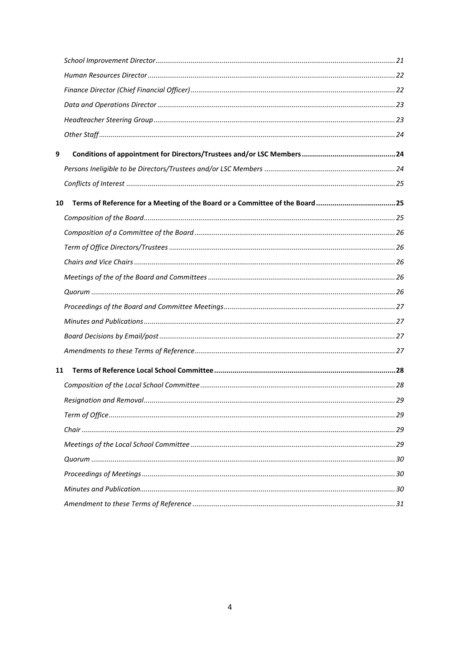| 9  |                                                                             |  |
|----|-----------------------------------------------------------------------------|--|
|    |                                                                             |  |
|    |                                                                             |  |
| 10 | Terms of Reference for a Meeting of the Board or a Committee of the Board25 |  |
|    |                                                                             |  |
|    |                                                                             |  |
|    |                                                                             |  |
|    |                                                                             |  |
|    |                                                                             |  |
|    |                                                                             |  |
|    |                                                                             |  |
|    |                                                                             |  |
|    |                                                                             |  |
|    |                                                                             |  |
| 11 |                                                                             |  |
|    |                                                                             |  |
|    |                                                                             |  |
|    |                                                                             |  |
|    |                                                                             |  |
|    |                                                                             |  |
|    |                                                                             |  |
|    |                                                                             |  |
|    |                                                                             |  |
|    |                                                                             |  |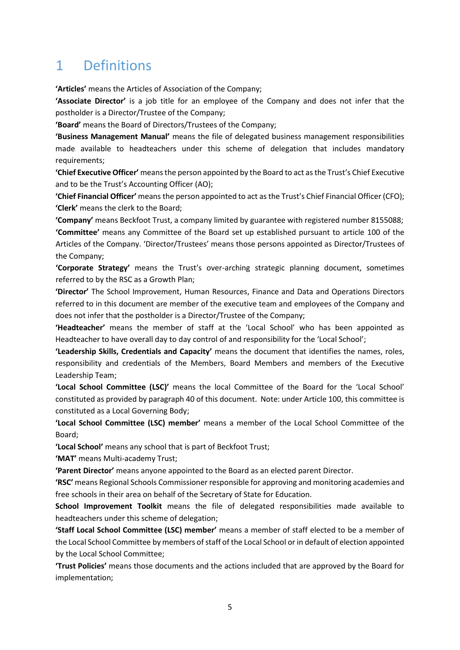# <span id="page-4-0"></span>1 Definitions

**'Articles'** means the Articles of Association of the Company;

**'Associate Director'** is a job title for an employee of the Company and does not infer that the postholder is a Director/Trustee of the Company;

**'Board'** means the Board of Directors/Trustees of the Company;

**'Business Management Manual'** means the file of delegated business management responsibilities made available to headteachers under this scheme of delegation that includes mandatory requirements;

**'Chief Executive Officer'** means the person appointed by the Board to act as the Trust's Chief Executive and to be the Trust's Accounting Officer (AO);

**'Chief Financial Officer'** means the person appointed to act asthe Trust's Chief Financial Officer (CFO); **'Clerk'** means the clerk to the Board;

**'Company'** means Beckfoot Trust, a company limited by guarantee with registered number 8155088; **'Committee'** means any Committee of the Board set up established pursuant to article 100 of the Articles of the Company. 'Director/Trustees' means those persons appointed as Director/Trustees of the Company;

**'Corporate Strategy'** means the Trust's over-arching strategic planning document, sometimes referred to by the RSC as a Growth Plan;

**'Director'** The School Improvement, Human Resources, Finance and Data and Operations Directors referred to in this document are member of the executive team and employees of the Company and does not infer that the postholder is a Director/Trustee of the Company;

**'Headteacher'** means the member of staff at the 'Local School' who has been appointed as Headteacher to have overall day to day control of and responsibility for the 'Local School';

**'Leadership Skills, Credentials and Capacity'** means the document that identifies the names, roles, responsibility and credentials of the Members, Board Members and members of the Executive Leadership Team;

**'Local School Committee (LSC)'** means the local Committee of the Board for the 'Local School' constituted as provided by paragraph 40 of this document. Note: under Article 100, this committee is constituted as a Local Governing Body;

**'Local School Committee (LSC) member'** means a member of the Local School Committee of the Board;

**'Local School'** means any school that is part of Beckfoot Trust;

**'MAT'** means Multi-academy Trust;

**'Parent Director'** means anyone appointed to the Board as an elected parent Director.

**'RSC'** means Regional Schools Commissioner responsible for approving and monitoring academies and free schools in their area on behalf of the Secretary of State for Education.

**School Improvement Toolkit** means the file of delegated responsibilities made available to headteachers under this scheme of delegation;

**'Staff Local School Committee (LSC) member'** means a member of staff elected to be a member of the Local School Committee by members of staff of the Local School or in default of election appointed by the Local School Committee;

**'Trust Policies'** means those documents and the actions included that are approved by the Board for implementation;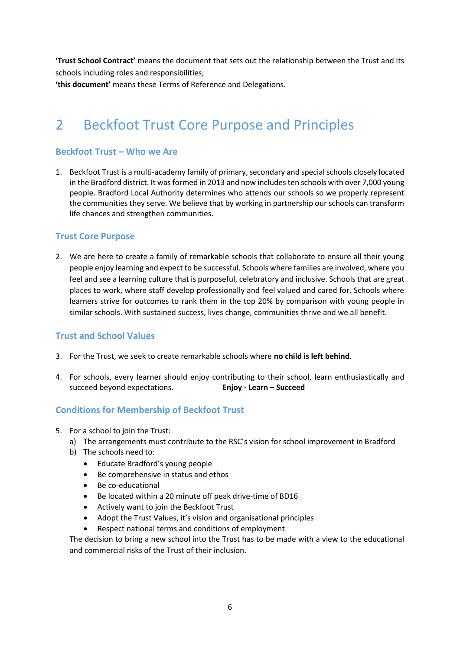**'Trust School Contract'** means the document that sets out the relationship between the Trust and its schools including roles and responsibilities; **'this document'** means these Terms of Reference and Delegations.

# <span id="page-5-0"></span>2 Beckfoot Trust Core Purpose and Principles

## <span id="page-5-1"></span>**Beckfoot Trust – Who we Are**

1. Beckfoot Trust is a multi-academy family of primary, secondary and special schools closely located in the Bradford district. It was formed in 2013 and now includes ten schools with over 7,000 young people. Bradford Local Authority determines who attends our schools so we properly represent the communities they serve. We believe that by working in partnership our schools can transform life chances and strengthen communities.

### <span id="page-5-2"></span>**Trust Core Purpose**

2. We are here to create a family of remarkable schools that collaborate to ensure all their young people enjoy learning and expect to be successful. Schools where families are involved, where you feel and see a learning culture that is purposeful, celebratory and inclusive. Schools that are great places to work, where staff develop professionally and feel valued and cared for. Schools where learners strive for outcomes to rank them in the top 20% by comparison with young people in similar schools. With sustained success, lives change, communities thrive and we all benefit.

### <span id="page-5-3"></span>**Trust and School Values**

- 3. For the Trust, we seek to create remarkable schools where **no child is left behind**.
- 4. For schools, every learner should enjoy contributing to their school, learn enthusiastically and succeed beyond expectations. **Enjoy - Learn – Succeed**

### <span id="page-5-4"></span>**Conditions for Membership of Beckfoot Trust**

- 5. For a school to join the Trust:
	- a) The arrangements must contribute to the RSC's vision for school improvement in Bradford
	- b) The schools need to:
		- Educate Bradford's young people
		- Be comprehensive in status and ethos
		- Be co-educational
		- Be located within a 20 minute off peak drive-time of BD16
		- Actively want to join the Beckfoot Trust
		- Adopt the Trust Values, it's vision and organisational principles
		- Respect national terms and conditions of employment

The decision to bring a new school into the Trust has to be made with a view to the educational and commercial risks of the Trust of their inclusion.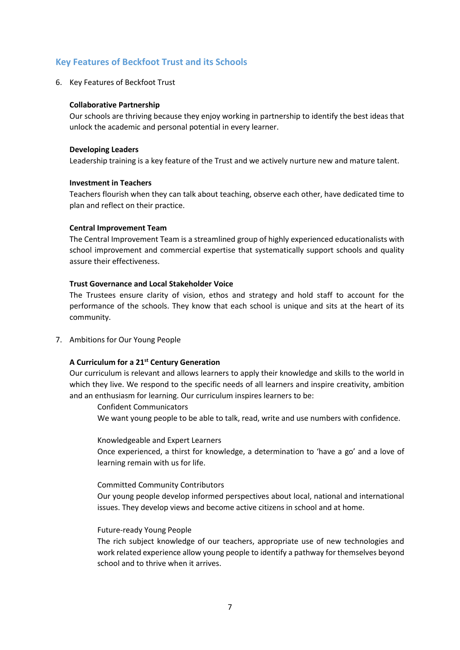### <span id="page-6-0"></span>**Key Features of Beckfoot Trust and its Schools**

6. Key Features of Beckfoot Trust

#### **Collaborative Partnership**

Our schools are thriving because they enjoy working in partnership to identify the best ideas that unlock the academic and personal potential in every learner.

#### **Developing Leaders**

Leadership training is a key feature of the Trust and we actively nurture new and mature talent.

### **Investment in Teachers**

Teachers flourish when they can talk about teaching, observe each other, have dedicated time to plan and reflect on their practice.

#### **Central Improvement Team**

The Central Improvement Team is a streamlined group of highly experienced educationalists with school improvement and commercial expertise that systematically support schools and quality assure their effectiveness.

#### **Trust Governance and Local Stakeholder Voice**

The Trustees ensure clarity of vision, ethos and strategy and hold staff to account for the performance of the schools. They know that each school is unique and sits at the heart of its community.

7. Ambitions for Our Young People

### **A Curriculum for a 21st Century Generation**

Our curriculum is relevant and allows learners to apply their knowledge and skills to the world in which they live. We respond to the specific needs of all learners and inspire creativity, ambition and an enthusiasm for learning. Our curriculum inspires learners to be:

Confident Communicators

We want young people to be able to talk, read, write and use numbers with confidence.

Knowledgeable and Expert Learners

Once experienced, a thirst for knowledge, a determination to 'have a go' and a love of learning remain with us for life.

#### Committed Community Contributors

Our young people develop informed perspectives about local, national and international issues. They develop views and become active citizens in school and at home.

#### Future-ready Young People

The rich subject knowledge of our teachers, appropriate use of new technologies and work related experience allow young people to identify a pathway for themselves beyond school and to thrive when it arrives.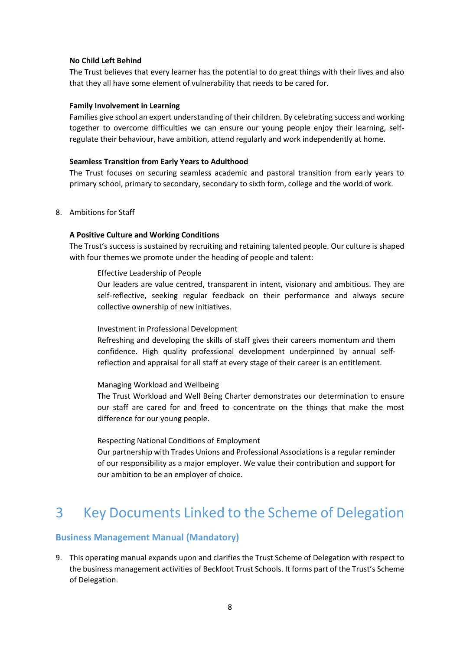#### **No Child Left Behind**

The Trust believes that every learner has the potential to do great things with their lives and also that they all have some element of vulnerability that needs to be cared for.

#### **Family Involvement in Learning**

Families give school an expert understanding of their children. By celebrating success and working together to overcome difficulties we can ensure our young people enjoy their learning, selfregulate their behaviour, have ambition, attend regularly and work independently at home.

### **Seamless Transition from Early Years to Adulthood**

The Trust focuses on securing seamless academic and pastoral transition from early years to primary school, primary to secondary, secondary to sixth form, college and the world of work.

8. Ambitions for Staff

### **A Positive Culture and Working Conditions**

The Trust's success is sustained by recruiting and retaining talented people. Our culture is shaped with four themes we promote under the heading of people and talent:

Effective Leadership of People

Our leaders are value centred, transparent in intent, visionary and ambitious. They are self-reflective, seeking regular feedback on their performance and always secure collective ownership of new initiatives.

Investment in Professional Development

Refreshing and developing the skills of staff gives their careers momentum and them confidence. High quality professional development underpinned by annual selfreflection and appraisal for all staff at every stage of their career is an entitlement.

### Managing Workload and Wellbeing

The Trust Workload and Well Being Charter demonstrates our determination to ensure our staff are cared for and freed to concentrate on the things that make the most difference for our young people.

Respecting National Conditions of Employment

Our partnership with Trades Unions and Professional Associations is a regular reminder of our responsibility as a major employer. We value their contribution and support for our ambition to be an employer of choice.

# <span id="page-7-0"></span>3 Key Documents Linked to the Scheme of Delegation

### <span id="page-7-1"></span>**Business Management Manual (Mandatory)**

9. This operating manual expands upon and clarifies the Trust Scheme of Delegation with respect to the business management activities of Beckfoot Trust Schools. It forms part of the Trust's Scheme of Delegation.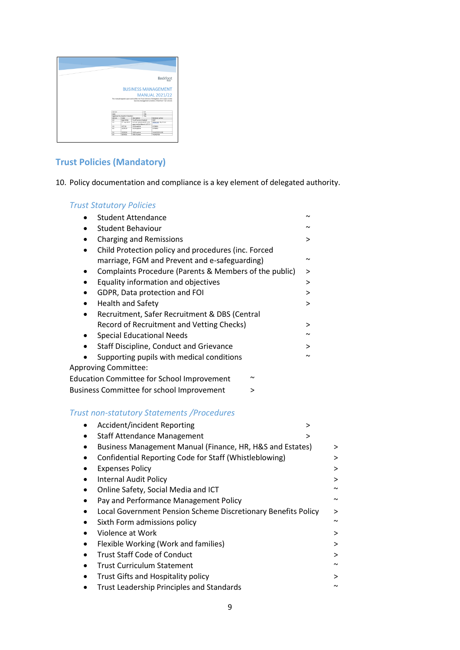|  |                                            |                               |                                 | Beckfoot                                                                                  |
|--|--------------------------------------------|-------------------------------|---------------------------------|-------------------------------------------------------------------------------------------|
|  |                                            |                               |                                 |                                                                                           |
|  |                                            |                               |                                 |                                                                                           |
|  |                                            |                               |                                 |                                                                                           |
|  |                                            |                               |                                 |                                                                                           |
|  |                                            |                               |                                 | <b>BUSINESS MANAGEMENT</b>                                                                |
|  |                                            |                               |                                 |                                                                                           |
|  |                                            |                               |                                 |                                                                                           |
|  |                                            |                               |                                 |                                                                                           |
|  |                                            |                               |                                 | <b>MANUAL 2021/22</b>                                                                     |
|  |                                            |                               |                                 | This manual expands upon and clarifies the Trust Scheme of Delegation with respect to the |
|  |                                            |                               |                                 | business management activities of Beckfoot Trust schools                                  |
|  |                                            |                               |                                 |                                                                                           |
|  |                                            |                               |                                 |                                                                                           |
|  |                                            |                               |                                 |                                                                                           |
|  | <b>Marsino</b>                             |                               | 50                              |                                                                                           |
|  | Date                                       | Approved by Board of Devctors | $\overline{\phantom{a}}$<br>TOA |                                                                                           |
|  | Version                                    | Oute                          | Description                     | <b>Boyking author</b>                                                                     |
|  | $\overline{10}$                            | Sept 2016                     | Trust Version Created           | CDT                                                                                       |
|  | 24                                         | 5 <sup>m</sup> July 2017      | Annual Update (draft until)     | FMW/GD, VR, CT,AV                                                                         |
|  |                                            |                               | approved at Board 13/7/17       |                                                                                           |
|  | $\overline{\mathbf{z}}$<br>$\overline{10}$ | 47/38                         | 2018 update                     | <b>CITAME</b><br>CITEARS                                                                  |
|  |                                            | 21/6/19                       | 2019 spoints                    |                                                                                           |
|  | 54                                         | 22/6/20                       | 2020 spdate                     | VANDADADA                                                                                 |
|  | 6.0                                        | 22/6/21                       | 2021 Update                     | va/op/ca                                                                                  |

# <span id="page-8-0"></span>**Trust Policies (Mandatory)**

10. Policy documentation and compliance is a key element of delegated authority.

# *Trust Statutory Policies*

| <b>Student Attendance</b>                              | $\tilde{\phantom{a}}$ |
|--------------------------------------------------------|-----------------------|
| <b>Student Behaviour</b>                               |                       |
| <b>Charging and Remissions</b>                         | >                     |
| Child Protection policy and procedures (inc. Forced    |                       |
| marriage, FGM and Prevent and e-safeguarding)          | $\tilde{\phantom{a}}$ |
| Complaints Procedure (Parents & Members of the public) | ゝ                     |
| Equality information and objectives                    | >                     |
| GDPR, Data protection and FOI                          | >                     |
| <b>Health and Safety</b>                               | ↘                     |
| Recruitment, Safer Recruitment & DBS (Central          |                       |
| Record of Recruitment and Vetting Checks)              | >                     |
| <b>Special Educational Needs</b>                       | $\tilde{\phantom{a}}$ |
| Staff Discipline, Conduct and Grievance                | >                     |
| Supporting pupils with medical conditions              |                       |
| <b>Approving Committee:</b>                            |                       |
| <b>Education Committee for School Improvement</b><br>ົ |                       |
|                                                        |                       |

Business Committee for school Improvement >

### *Trust non-statutory Statements /Procedures*

| <b>Accident/incident Reporting</b>                            | > |        |
|---------------------------------------------------------------|---|--------|
| <b>Staff Attendance Management</b>                            | > |        |
| Business Management Manual (Finance, HR, H&S and Estates)     |   | >      |
| Confidential Reporting Code for Staff (Whistleblowing)        |   | >      |
| <b>Expenses Policy</b>                                        |   | >      |
| <b>Internal Audit Policy</b>                                  |   | >      |
| Online Safety, Social Media and ICT                           |   | $\sim$ |
| Pay and Performance Management Policy                         |   | ົ      |
| Local Government Pension Scheme Discretionary Benefits Policy |   | >      |
| Sixth Form admissions policy                                  |   | $\sim$ |
| Violence at Work                                              |   | >      |
| Flexible Working (Work and families)                          |   | >      |
| <b>Trust Staff Code of Conduct</b>                            |   | >      |
| <b>Trust Curriculum Statement</b>                             |   | ົ      |
| Trust Gifts and Hospitality policy                            |   | >      |
| Trust Leadership Principles and Standards                     |   |        |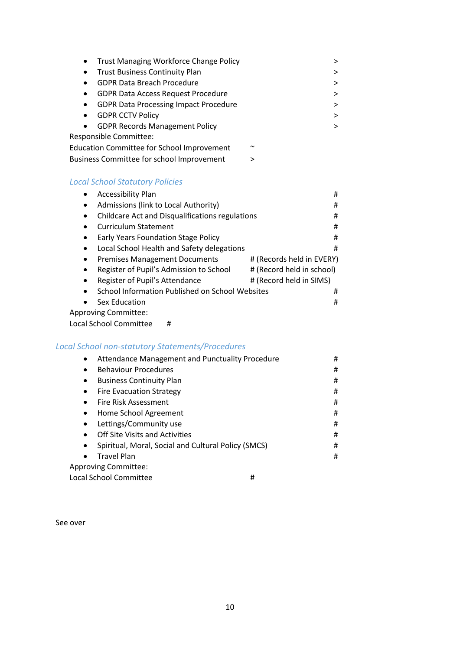|           | • Trust Managing Workforce Change Policy          |        | > |
|-----------|---------------------------------------------------|--------|---|
| $\bullet$ | <b>Trust Business Continuity Plan</b>             |        | ⋗ |
| $\bullet$ | <b>GDPR Data Breach Procedure</b>                 |        | > |
| $\bullet$ | <b>GDPR Data Access Request Procedure</b>         |        | ⋗ |
| $\bullet$ | <b>GDPR Data Processing Impact Procedure</b>      |        | ⋗ |
|           | <b>GDPR CCTV Policy</b>                           |        | > |
|           | <b>GDPR Records Management Policy</b>             |        | > |
|           | <b>Responsible Committee:</b>                     |        |   |
|           | <b>Education Committee for School Improvement</b> | $\sim$ |   |
|           | <b>Business Committee for school Improvement</b>  | >      |   |
|           |                                                   |        |   |

### *Local School Statutory Policies*

| <b>Accessibility Plan</b>                                                         | # |
|-----------------------------------------------------------------------------------|---|
| Admissions (link to Local Authority)<br>$\bullet$                                 | # |
| Childcare Act and Disqualifications regulations<br>$\bullet$                      | # |
| <b>Curriculum Statement</b><br>$\bullet$                                          | # |
| Early Years Foundation Stage Policy<br>$\bullet$                                  | # |
| Local School Health and Safety delegations<br>$\bullet$                           | # |
| # (Records held in EVERY)<br><b>Premises Management Documents</b><br>$\bullet$    |   |
| # (Record held in school)<br>Register of Pupil's Admission to School<br>$\bullet$ |   |
| # (Record held in SIMS)<br>Register of Pupil's Attendance<br>$\bullet$            |   |
| School Information Published on School Websites<br>$\bullet$                      | # |
| Sex Education<br>$\bullet$                                                        | # |
| <b>Approving Committee:</b>                                                       |   |
| Local School Committee<br>#                                                       |   |

# *Local School non-statutory Statements/Procedures*

| Attendance Management and Punctuality Procedure<br>$\bullet$ | # |
|--------------------------------------------------------------|---|
| <b>Behaviour Procedures</b><br>$\bullet$                     | # |
| <b>Business Continuity Plan</b><br>$\bullet$                 | # |
| <b>Fire Evacuation Strategy</b><br>$\bullet$                 | # |
| Fire Risk Assessment<br>$\bullet$                            | # |
| Home School Agreement<br>$\bullet$                           | # |
| Lettings/Community use<br>$\bullet$                          | # |
| Off Site Visits and Activities<br>$\bullet$                  | # |
| Spiritual, Moral, Social and Cultural Policy (SMCS)          | # |
| <b>Travel Plan</b><br>$\bullet$                              | # |
| Approving Committee:                                         |   |
| Local School Committee<br>#                                  |   |

<span id="page-9-0"></span>See over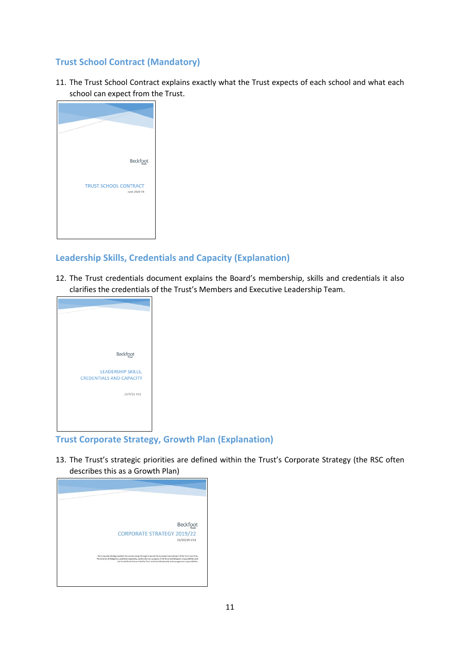# **Trust School Contract (Mandatory)**

11. The Trust School Contract explains exactly what the Trust expects of each school and what each school can expect from the Trust.



### <span id="page-10-0"></span>**Leadership Skills, Credentials and Capacity (Explanation)**

12. The Trust credentials document explains the Board's membership, skills and credentials it also clarifies the credentials of the Trust's Members and Executive Leadership Team.



### <span id="page-10-1"></span>**Trust Corporate Strategy, Growth Plan (Explanation)**

13. The Trust's strategic priorities are defined within the Trust's Corporate Strategy (the RSC often describes this as a Growth Plan)

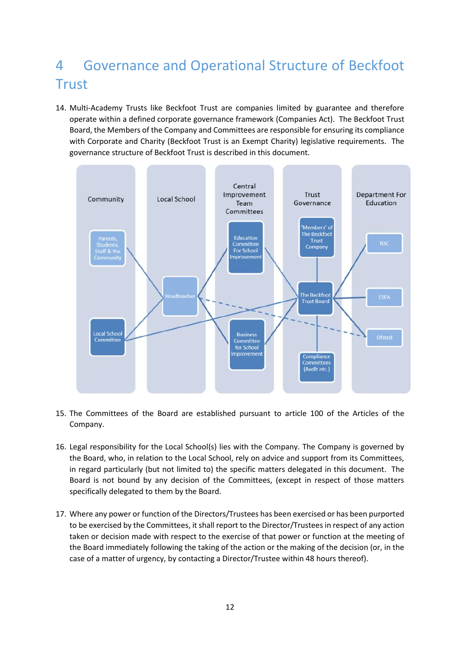# <span id="page-11-0"></span>4 Governance and Operational Structure of Beckfoot **Trust**

14. Multi-Academy Trusts like Beckfoot Trust are companies limited by guarantee and therefore operate within a defined corporate governance framework (Companies Act). The Beckfoot Trust Board, the Members of the Company and Committees are responsible for ensuring its compliance with Corporate and Charity (Beckfoot Trust is an Exempt Charity) legislative requirements. The governance structure of Beckfoot Trust is described in this document.



- 15. The Committees of the Board are established pursuant to article 100 of the Articles of the Company.
- 16. Legal responsibility for the Local School(s) lies with the Company. The Company is governed by the Board, who, in relation to the Local School, rely on advice and support from its Committees, in regard particularly (but not limited to) the specific matters delegated in this document. The Board is not bound by any decision of the Committees, (except in respect of those matters specifically delegated to them by the Board.
- 17. Where any power or function of the Directors/Trustees has been exercised or has been purported to be exercised by the Committees, it shall report to the Director/Trustees in respect of any action taken or decision made with respect to the exercise of that power or function at the meeting of the Board immediately following the taking of the action or the making of the decision (or, in the case of a matter of urgency, by contacting a Director/Trustee within 48 hours thereof).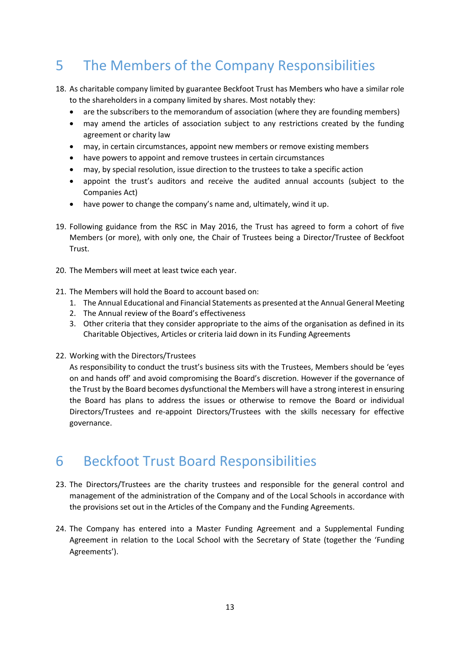# <span id="page-12-0"></span>5 The Members of the Company Responsibilities

- 18. As charitable company limited by guarantee Beckfoot Trust has Members who have a similar role to the shareholders in a company limited by shares. Most notably they:
	- are the subscribers to the memorandum of association (where they are founding members)
	- may amend the articles of association subject to any restrictions created by the funding agreement or charity law
	- may, in certain circumstances, appoint new members or remove existing members
	- have powers to appoint and remove trustees in certain circumstances
	- may, by special resolution, issue direction to the trustees to take a specific action
	- appoint the trust's auditors and receive the audited annual accounts (subject to the Companies Act)
	- have power to change the company's name and, ultimately, wind it up.
- 19. Following guidance from the RSC in May 2016, the Trust has agreed to form a cohort of five Members (or more), with only one, the Chair of Trustees being a Director/Trustee of Beckfoot Trust.
- 20. The Members will meet at least twice each year.
- 21. The Members will hold the Board to account based on:
	- 1. The Annual Educational and Financial Statements as presented at the Annual General Meeting
	- 2. The Annual review of the Board's effectiveness
	- 3. Other criteria that they consider appropriate to the aims of the organisation as defined in its Charitable Objectives, Articles or criteria laid down in its Funding Agreements
- 22. Working with the Directors/Trustees

As responsibility to conduct the trust's business sits with the Trustees, Members should be 'eyes on and hands off' and avoid compromising the Board's discretion. However if the governance of the Trust by the Board becomes dysfunctional the Members will have a strong interest in ensuring the Board has plans to address the issues or otherwise to remove the Board or individual Directors/Trustees and re-appoint Directors/Trustees with the skills necessary for effective governance.

# <span id="page-12-1"></span>6 Beckfoot Trust Board Responsibilities

- 23. The Directors/Trustees are the charity trustees and responsible for the general control and management of the administration of the Company and of the Local Schools in accordance with the provisions set out in the Articles of the Company and the Funding Agreements.
- 24. The Company has entered into a Master Funding Agreement and a Supplemental Funding Agreement in relation to the Local School with the Secretary of State (together the 'Funding Agreements').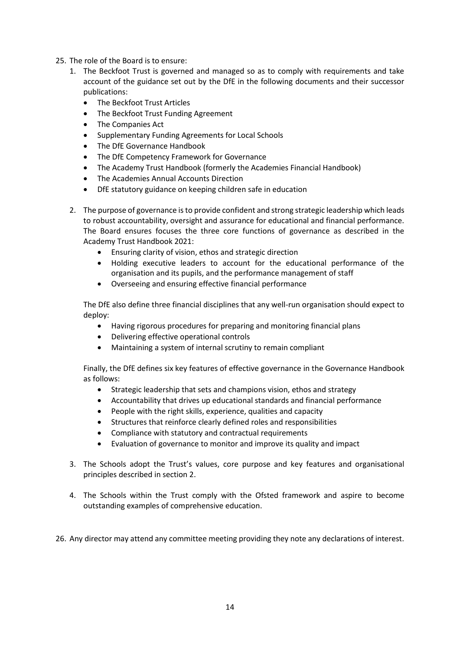- 25. The role of the Board is to ensure:
	- 1. The Beckfoot Trust is governed and managed so as to comply with requirements and take account of the guidance set out by the DfE in the following documents and their successor publications:
		- The Beckfoot Trust Articles
		- The Beckfoot Trust Funding Agreement
		- The Companies Act
		- Supplementary Funding Agreements for Local Schools
		- The DfE Governance Handbook
		- The DfE Competency Framework for Governance
		- The Academy Trust Handbook (formerly the Academies Financial Handbook)
		- The Academies Annual Accounts Direction
		- DfE statutory guidance on keeping children safe in education
	- 2. The purpose of governance is to provide confident and strong strategic leadership which leads to robust accountability, oversight and assurance for educational and financial performance. The Board ensures focuses the three core functions of governance as described in the Academy Trust Handbook 2021:
		- Ensuring clarity of vision, ethos and strategic direction
		- Holding executive leaders to account for the educational performance of the organisation and its pupils, and the performance management of staff
		- Overseeing and ensuring effective financial performance

The DfE also define three financial disciplines that any well-run organisation should expect to deploy:

- Having rigorous procedures for preparing and monitoring financial plans
- Delivering effective operational controls
- Maintaining a system of internal scrutiny to remain compliant

Finally, the DfE defines six key features of effective governance in the Governance Handbook as follows:

- Strategic leadership that sets and champions vision, ethos and strategy
- Accountability that drives up educational standards and financial performance
- People with the right skills, experience, qualities and capacity
- Structures that reinforce clearly defined roles and responsibilities
- Compliance with statutory and contractual requirements
- Evaluation of governance to monitor and improve its quality and impact
- 3. The Schools adopt the Trust's values, core purpose and key features and organisational principles described in section 2.
- 4. The Schools within the Trust comply with the Ofsted framework and aspire to become outstanding examples of comprehensive education.

26. Any director may attend any committee meeting providing they note any declarations of interest.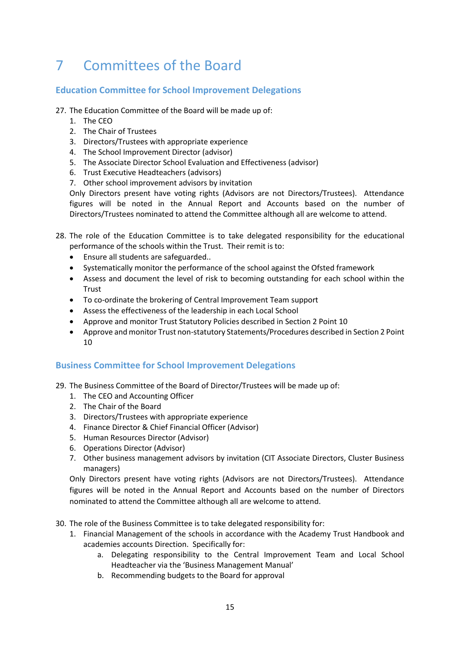# <span id="page-14-0"></span>7 Committees of the Board

# <span id="page-14-1"></span>**Education Committee for School Improvement Delegations**

- 27. The Education Committee of the Board will be made up of:
	- 1. The CEO
	- 2. The Chair of Trustees
	- 3. Directors/Trustees with appropriate experience
	- 4. The School Improvement Director (advisor)
	- 5. The Associate Director School Evaluation and Effectiveness (advisor)
	- 6. Trust Executive Headteachers (advisors)
	- 7. Other school improvement advisors by invitation

Only Directors present have voting rights (Advisors are not Directors/Trustees). Attendance figures will be noted in the Annual Report and Accounts based on the number of Directors/Trustees nominated to attend the Committee although all are welcome to attend.

- 28. The role of the Education Committee is to take delegated responsibility for the educational performance of the schools within the Trust. Their remit is to:
	- Ensure all students are safeguarded..
	- Systematically monitor the performance of the school against the Ofsted framework
	- Assess and document the level of risk to becoming outstanding for each school within the **Trust**
	- To co-ordinate the brokering of Central Improvement Team support
	- Assess the effectiveness of the leadership in each Local School
	- Approve and monitor Trust Statutory Policies described in Section 2 Point 10
	- Approve and monitor Trust non-statutory Statements/Procedures described in Section 2 Point 10

### <span id="page-14-2"></span>**Business Committee for School Improvement Delegations**

- 29. The Business Committee of the Board of Director/Trustees will be made up of:
	- 1. The CEO and Accounting Officer
	- 2. The Chair of the Board
	- 3. Directors/Trustees with appropriate experience
	- 4. Finance Director & Chief Financial Officer (Advisor)
	- 5. Human Resources Director (Advisor)
	- 6. Operations Director (Advisor)
	- 7. Other business management advisors by invitation (CIT Associate Directors, Cluster Business managers)

Only Directors present have voting rights (Advisors are not Directors/Trustees). Attendance figures will be noted in the Annual Report and Accounts based on the number of Directors nominated to attend the Committee although all are welcome to attend.

- 30. The role of the Business Committee is to take delegated responsibility for:
	- 1. Financial Management of the schools in accordance with the Academy Trust Handbook and academies accounts Direction. Specifically for:
		- a. Delegating responsibility to the Central Improvement Team and Local School Headteacher via the 'Business Management Manual'
		- b. Recommending budgets to the Board for approval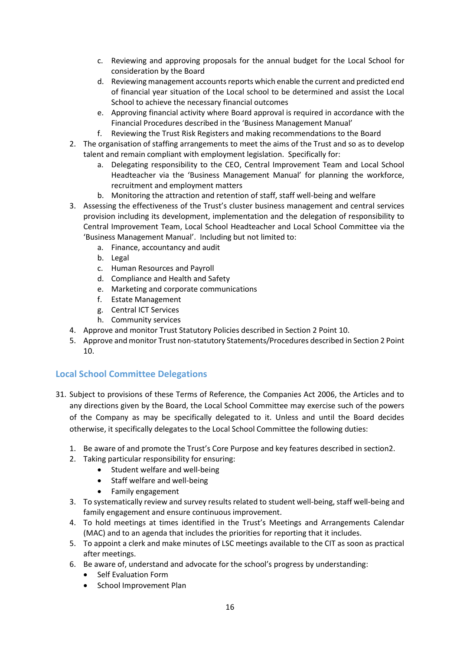- c. Reviewing and approving proposals for the annual budget for the Local School for consideration by the Board
- d. Reviewing management accounts reports which enable the current and predicted end of financial year situation of the Local school to be determined and assist the Local School to achieve the necessary financial outcomes
- e. Approving financial activity where Board approval is required in accordance with the Financial Procedures described in the 'Business Management Manual'
- f. Reviewing the Trust Risk Registers and making recommendations to the Board
- 2. The organisation of staffing arrangements to meet the aims of the Trust and so as to develop talent and remain compliant with employment legislation. Specifically for:
	- a. Delegating responsibility to the CEO, Central Improvement Team and Local School Headteacher via the 'Business Management Manual' for planning the workforce, recruitment and employment matters
	- b. Monitoring the attraction and retention of staff, staff well-being and welfare
- 3. Assessing the effectiveness of the Trust's cluster business management and central services provision including its development, implementation and the delegation of responsibility to Central Improvement Team, Local School Headteacher and Local School Committee via the 'Business Management Manual'. Including but not limited to:
	- a. Finance, accountancy and audit
	- b. Legal
	- c. Human Resources and Payroll
	- d. Compliance and Health and Safety
	- e. Marketing and corporate communications
	- f. Estate Management
	- g. Central ICT Services
	- h. Community services
- 4. Approve and monitor Trust Statutory Policies described in Section 2 Point 10.
- 5. Approve and monitor Trust non-statutory Statements/Procedures described in Section 2 Point 10.

# <span id="page-15-0"></span>**Local School Committee Delegations**

- 31. Subject to provisions of these Terms of Reference, the Companies Act 2006, the Articles and to any directions given by the Board, the Local School Committee may exercise such of the powers of the Company as may be specifically delegated to it. Unless and until the Board decides otherwise, it specifically delegates to the Local School Committee the following duties:
	- 1. Be aware of and promote the Trust's Core Purpose and key features described in section2.
	- 2. Taking particular responsibility for ensuring:
		- Student welfare and well-being
			- Staff welfare and well-being
			- Family engagement
	- 3. To systematically review and survey results related to student well-being, staff well-being and family engagement and ensure continuous improvement.
	- 4. To hold meetings at times identified in the Trust's Meetings and Arrangements Calendar (MAC) and to an agenda that includes the priorities for reporting that it includes.
	- 5. To appoint a clerk and make minutes of LSC meetings available to the CIT as soon as practical after meetings.
	- 6. Be aware of, understand and advocate for the school's progress by understanding:
		- Self Evaluation Form
		- School Improvement Plan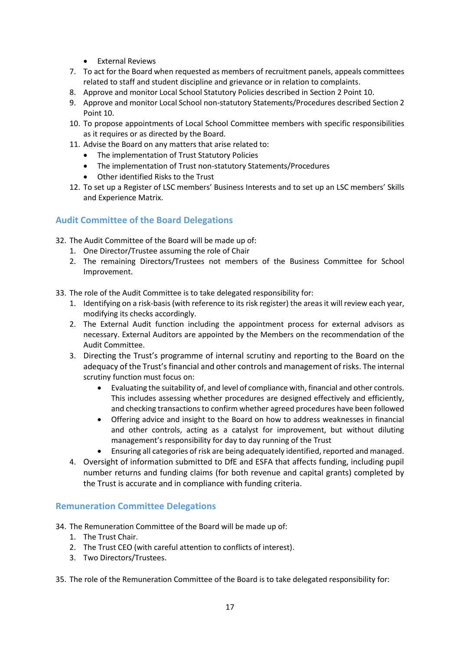- External Reviews
- 7. To act for the Board when requested as members of recruitment panels, appeals committees related to staff and student discipline and grievance or in relation to complaints.
- 8. Approve and monitor Local School Statutory Policies described in Section 2 Point 10.
- 9. Approve and monitor Local School non-statutory Statements/Procedures described Section 2 Point 10.
- 10. To propose appointments of Local School Committee members with specific responsibilities as it requires or as directed by the Board.
- 11. Advise the Board on any matters that arise related to:
	- The implementation of Trust Statutory Policies
	- The implementation of Trust non-statutory Statements/Procedures
	- Other identified Risks to the Trust
- 12. To set up a Register of LSC members' Business Interests and to set up an LSC members' Skills and Experience Matrix.

### <span id="page-16-0"></span>**Audit Committee of the Board Delegations**

32. The Audit Committee of the Board will be made up of:

- 1. One Director/Trustee assuming the role of Chair
- 2. The remaining Directors/Trustees not members of the Business Committee for School Improvement.
- 33. The role of the Audit Committee is to take delegated responsibility for:
	- 1. Identifying on a risk-basis (with reference to its risk register) the areas it will review each year, modifying its checks accordingly.
	- 2. The External Audit function including the appointment process for external advisors as necessary. External Auditors are appointed by the Members on the recommendation of the Audit Committee.
	- 3. Directing the Trust's programme of internal scrutiny and reporting to the Board on the adequacy of the Trust's financial and other controls and management of risks. The internal scrutiny function must focus on:
		- Evaluating the suitability of, and level of compliance with, financial and other controls. This includes assessing whether procedures are designed effectively and efficiently, and checking transactions to confirm whether agreed procedures have been followed
		- Offering advice and insight to the Board on how to address weaknesses in financial and other controls, acting as a catalyst for improvement, but without diluting management's responsibility for day to day running of the Trust
		- Ensuring all categories of risk are being adequately identified, reported and managed.
	- 4. Oversight of information submitted to DfE and ESFA that affects funding, including pupil number returns and funding claims (for both revenue and capital grants) completed by the Trust is accurate and in compliance with funding criteria.

### <span id="page-16-1"></span>**Remuneration Committee Delegations**

- 34. The Remuneration Committee of the Board will be made up of:
	- 1. The Trust Chair.
	- 2. The Trust CEO (with careful attention to conflicts of interest).
	- 3. Two Directors/Trustees.
- 35. The role of the Remuneration Committee of the Board is to take delegated responsibility for: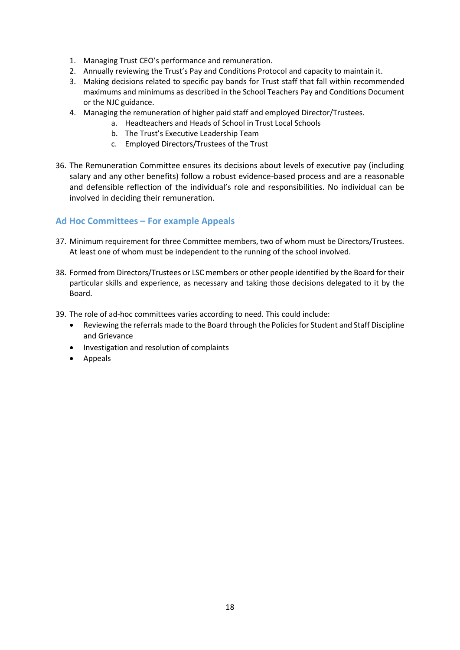- 1. Managing Trust CEO's performance and remuneration.
- 2. Annually reviewing the Trust's Pay and Conditions Protocol and capacity to maintain it.
- 3. Making decisions related to specific pay bands for Trust staff that fall within recommended maximums and minimums as described in the School Teachers Pay and Conditions Document or the NJC guidance.
- 4. Managing the remuneration of higher paid staff and employed Director/Trustees.
	- a. Headteachers and Heads of School in Trust Local Schools
		- b. The Trust's Executive Leadership Team
	- c. Employed Directors/Trustees of the Trust
- 36. The Remuneration Committee ensures its decisions about levels of executive pay (including salary and any other benefits) follow a robust evidence-based process and are a reasonable and defensible reflection of the individual's role and responsibilities. No individual can be involved in deciding their remuneration.

### <span id="page-17-0"></span>**Ad Hoc Committees – For example Appeals**

- 37. Minimum requirement for three Committee members, two of whom must be Directors/Trustees. At least one of whom must be independent to the running of the school involved.
- 38. Formed from Directors/Trustees or LSC members or other people identified by the Board for their particular skills and experience, as necessary and taking those decisions delegated to it by the Board.
- 39. The role of ad-hoc committees varies according to need. This could include:
	- Reviewing the referrals made to the Board through the Policies for Student and Staff Discipline and Grievance
	- Investigation and resolution of complaints
	- Appeals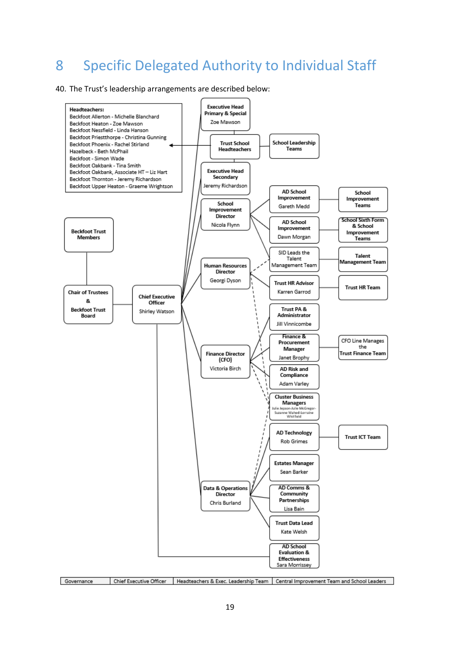# <span id="page-18-0"></span>Specific Delegated Authority to Individual Staff

#### 40. The Trust's leadership arrangements are described below:



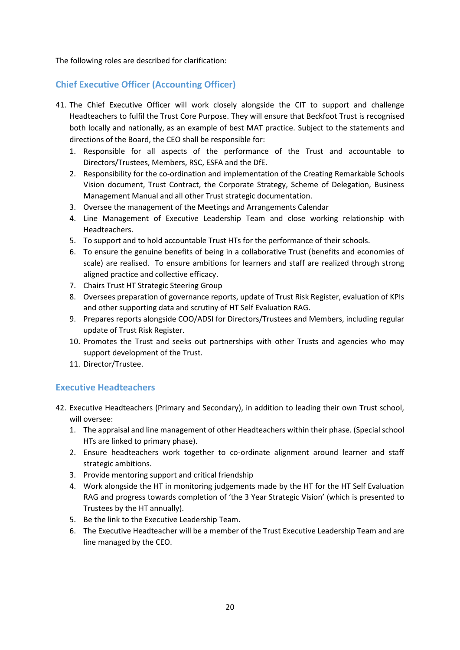The following roles are described for clarification:

## <span id="page-19-0"></span>**Chief Executive Officer (Accounting Officer)**

- 41. The Chief Executive Officer will work closely alongside the CIT to support and challenge Headteachers to fulfil the Trust Core Purpose. They will ensure that Beckfoot Trust is recognised both locally and nationally, as an example of best MAT practice. Subject to the statements and directions of the Board, the CEO shall be responsible for:
	- 1. Responsible for all aspects of the performance of the Trust and accountable to Directors/Trustees, Members, RSC, ESFA and the DfE.
	- 2. Responsibility for the co-ordination and implementation of the Creating Remarkable Schools Vision document, Trust Contract, the Corporate Strategy, Scheme of Delegation, Business Management Manual and all other Trust strategic documentation.
	- 3. Oversee the management of the Meetings and Arrangements Calendar
	- 4. Line Management of Executive Leadership Team and close working relationship with Headteachers.
	- 5. To support and to hold accountable Trust HTs for the performance of their schools.
	- 6. To ensure the genuine benefits of being in a collaborative Trust (benefits and economies of scale) are realised. To ensure ambitions for learners and staff are realized through strong aligned practice and collective efficacy.
	- 7. Chairs Trust HT Strategic Steering Group
	- 8. Oversees preparation of governance reports, update of Trust Risk Register, evaluation of KPIs and other supporting data and scrutiny of HT Self Evaluation RAG.
	- 9. Prepares reports alongside COO/ADSI for Directors/Trustees and Members, including regular update of Trust Risk Register.
	- 10. Promotes the Trust and seeks out partnerships with other Trusts and agencies who may support development of the Trust.
	- 11. Director/Trustee.

# <span id="page-19-1"></span>**Executive Headteachers**

- 42. Executive Headteachers (Primary and Secondary), in addition to leading their own Trust school, will oversee:
	- 1. The appraisal and line management of other Headteachers within their phase. (Special school HTs are linked to primary phase).
	- 2. Ensure headteachers work together to co-ordinate alignment around learner and staff strategic ambitions.
	- 3. Provide mentoring support and critical friendship
	- 4. Work alongside the HT in monitoring judgements made by the HT for the HT Self Evaluation RAG and progress towards completion of 'the 3 Year Strategic Vision' (which is presented to Trustees by the HT annually).
	- 5. Be the link to the Executive Leadership Team.
	- 6. The Executive Headteacher will be a member of the Trust Executive Leadership Team and are line managed by the CEO.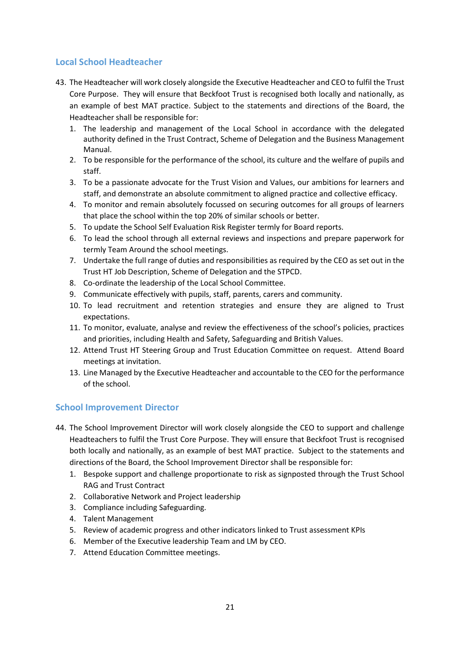### <span id="page-20-0"></span>**Local School Headteacher**

- 43. The Headteacher will work closely alongside the Executive Headteacher and CEO to fulfil the Trust Core Purpose. They will ensure that Beckfoot Trust is recognised both locally and nationally, as an example of best MAT practice. Subject to the statements and directions of the Board, the Headteacher shall be responsible for:
	- 1. The leadership and management of the Local School in accordance with the delegated authority defined in the Trust Contract, Scheme of Delegation and the Business Management Manual.
	- 2. To be responsible for the performance of the school, its culture and the welfare of pupils and staff.
	- 3. To be a passionate advocate for the Trust Vision and Values, our ambitions for learners and staff, and demonstrate an absolute commitment to aligned practice and collective efficacy.
	- 4. To monitor and remain absolutely focussed on securing outcomes for all groups of learners that place the school within the top 20% of similar schools or better.
	- 5. To update the School Self Evaluation Risk Register termly for Board reports.
	- 6. To lead the school through all external reviews and inspections and prepare paperwork for termly Team Around the school meetings.
	- 7. Undertake the full range of duties and responsibilities as required by the CEO as set out in the Trust HT Job Description, Scheme of Delegation and the STPCD.
	- 8. Co-ordinate the leadership of the Local School Committee.
	- 9. Communicate effectively with pupils, staff, parents, carers and community.
	- 10. To lead recruitment and retention strategies and ensure they are aligned to Trust expectations.
	- 11. To monitor, evaluate, analyse and review the effectiveness of the school's policies, practices and priorities, including Health and Safety, Safeguarding and British Values.
	- 12. Attend Trust HT Steering Group and Trust Education Committee on request. Attend Board meetings at invitation.
	- 13. Line Managed by the Executive Headteacher and accountable to the CEO for the performance of the school.

### <span id="page-20-1"></span>**School Improvement Director**

- 44. The School Improvement Director will work closely alongside the CEO to support and challenge Headteachers to fulfil the Trust Core Purpose. They will ensure that Beckfoot Trust is recognised both locally and nationally, as an example of best MAT practice. Subject to the statements and directions of the Board, the School Improvement Director shall be responsible for:
	- 1. Bespoke support and challenge proportionate to risk as signposted through the Trust School RAG and Trust Contract
	- 2. Collaborative Network and Project leadership
	- 3. Compliance including Safeguarding.
	- 4. Talent Management
	- 5. Review of academic progress and other indicators linked to Trust assessment KPIs
	- 6. Member of the Executive leadership Team and LM by CEO.
	- 7. Attend Education Committee meetings.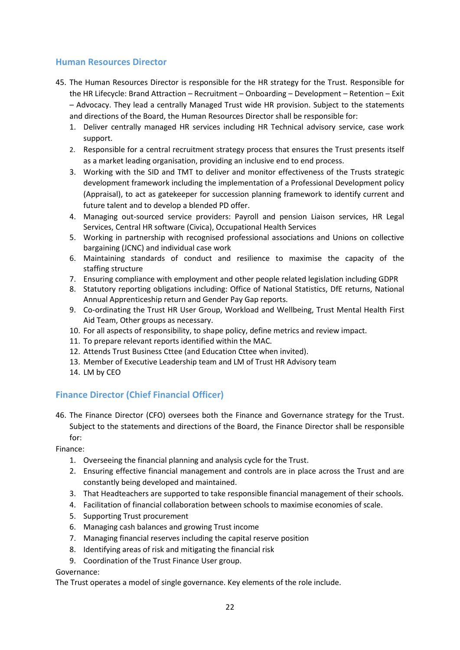### <span id="page-21-0"></span>**Human Resources Director**

- 45. The Human Resources Director is responsible for the HR strategy for the Trust. Responsible for the HR Lifecycle: Brand Attraction – Recruitment – Onboarding – Development – Retention – Exit – Advocacy. They lead a centrally Managed Trust wide HR provision. Subject to the statements and directions of the Board, the Human Resources Director shall be responsible for:
	- 1. Deliver centrally managed HR services including HR Technical advisory service, case work support.
	- 2. Responsible for a central recruitment strategy process that ensures the Trust presents itself as a market leading organisation, providing an inclusive end to end process.
	- 3. Working with the SID and TMT to deliver and monitor effectiveness of the Trusts strategic development framework including the implementation of a Professional Development policy (Appraisal), to act as gatekeeper for succession planning framework to identify current and future talent and to develop a blended PD offer.
	- 4. Managing out-sourced service providers: Payroll and pension Liaison services, HR Legal Services, Central HR software (Civica), Occupational Health Services
	- 5. Working in partnership with recognised professional associations and Unions on collective bargaining (JCNC) and individual case work
	- 6. Maintaining standards of conduct and resilience to maximise the capacity of the staffing structure
	- 7. Ensuring compliance with employment and other people related legislation including GDPR
	- 8. Statutory reporting obligations including: Office of National Statistics, DfE returns, National Annual Apprenticeship return and Gender Pay Gap reports.
	- 9. Co-ordinating the Trust HR User Group, Workload and Wellbeing, Trust Mental Health First Aid Team, Other groups as necessary.
	- 10. For all aspects of responsibility, to shape policy, define metrics and review impact.
	- 11. To prepare relevant reports identified within the MAC.
	- 12. Attends Trust Business Cttee (and Education Cttee when invited).
	- 13. Member of Executive Leadership team and LM of Trust HR Advisory team
	- 14. LM by CEO

### <span id="page-21-1"></span>**Finance Director (Chief Financial Officer)**

46. The Finance Director (CFO) oversees both the Finance and Governance strategy for the Trust. Subject to the statements and directions of the Board, the Finance Director shall be responsible for:

Finance:

- 1. Overseeing the financial planning and analysis cycle for the Trust.
- 2. Ensuring effective financial management and controls are in place across the Trust and are constantly being developed and maintained.
- 3. That Headteachers are supported to take responsible financial management of their schools.
- 4. Facilitation of financial collaboration between schools to maximise economies of scale.
- 5. Supporting Trust procurement
- 6. Managing cash balances and growing Trust income
- 7. Managing financial reserves including the capital reserve position
- 8. Identifying areas of risk and mitigating the financial risk
- 9. Coordination of the Trust Finance User group.

### Governance:

The Trust operates a model of single governance. Key elements of the role include.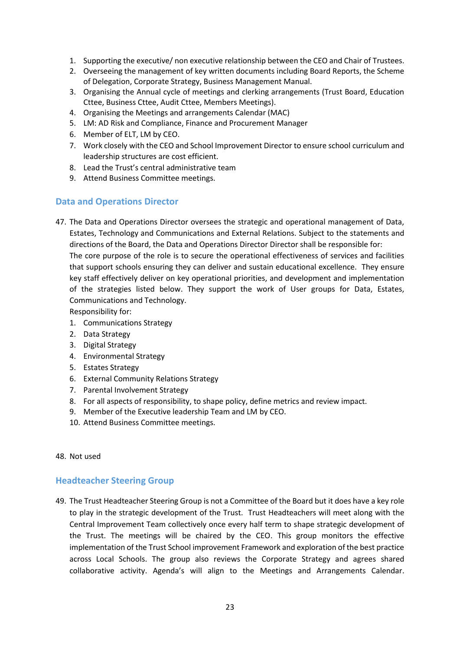- 1. Supporting the executive/ non executive relationship between the CEO and Chair of Trustees.
- 2. Overseeing the management of key written documents including Board Reports, the Scheme of Delegation, Corporate Strategy, Business Management Manual.
- 3. Organising the Annual cycle of meetings and clerking arrangements (Trust Board, Education Cttee, Business Cttee, Audit Cttee, Members Meetings).
- 4. Organising the Meetings and arrangements Calendar (MAC)
- 5. LM: AD Risk and Compliance, Finance and Procurement Manager
- 6. Member of ELT, LM by CEO.
- 7. Work closely with the CEO and School Improvement Director to ensure school curriculum and leadership structures are cost efficient.
- 8. Lead the Trust's central administrative team
- 9. Attend Business Committee meetings.

### <span id="page-22-0"></span>**Data and Operations Director**

47. The Data and Operations Director oversees the strategic and operational management of Data, Estates, Technology and Communications and External Relations. Subject to the statements and directions of the Board, the Data and Operations Director Director shall be responsible for: The core purpose of the role is to secure the operational effectiveness of services and facilities that support schools ensuring they can deliver and sustain educational excellence. They ensure key staff effectively deliver on key operational priorities, and development and implementation of the strategies listed below. They support the work of User groups for Data, Estates, Communications and Technology.

Responsibility for:

- 1. Communications Strategy
- 2. Data Strategy
- 3. Digital Strategy
- 4. Environmental Strategy
- 5. Estates Strategy
- 6. External Community Relations Strategy
- 7. Parental Involvement Strategy
- 8. For all aspects of responsibility, to shape policy, define metrics and review impact.
- 9. Member of the Executive leadership Team and LM by CEO.
- 10. Attend Business Committee meetings.

### 48. Not used

### <span id="page-22-1"></span>**Headteacher Steering Group**

49. The Trust Headteacher Steering Group is not a Committee of the Board but it does have a key role to play in the strategic development of the Trust. Trust Headteachers will meet along with the Central Improvement Team collectively once every half term to shape strategic development of the Trust. The meetings will be chaired by the CEO. This group monitors the effective implementation of the Trust School improvement Framework and exploration of the best practice across Local Schools. The group also reviews the Corporate Strategy and agrees shared collaborative activity. Agenda's will align to the Meetings and Arrangements Calendar.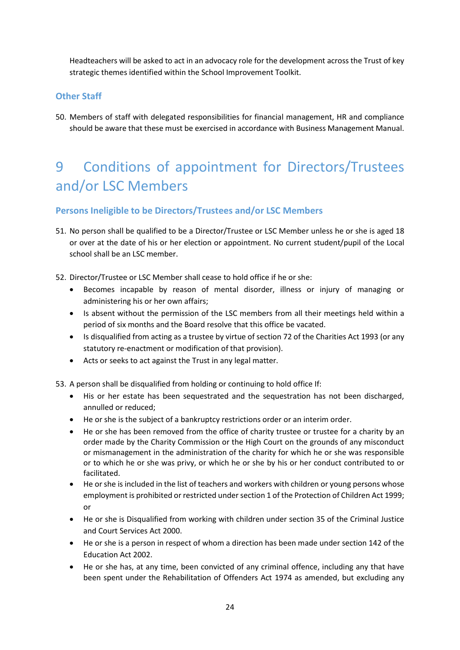Headteachers will be asked to act in an advocacy role for the development across the Trust of key strategic themes identified within the School Improvement Toolkit.

# <span id="page-23-0"></span>**Other Staff**

50. Members of staff with delegated responsibilities for financial management, HR and compliance should be aware that these must be exercised in accordance with Business Management Manual.

# <span id="page-23-1"></span>9 Conditions of appointment for Directors/Trustees and/or LSC Members

### <span id="page-23-2"></span>**Persons Ineligible to be Directors/Trustees and/or LSC Members**

- 51. No person shall be qualified to be a Director/Trustee or LSC Member unless he or she is aged 18 or over at the date of his or her election or appointment. No current student/pupil of the Local school shall be an LSC member.
- 52. Director/Trustee or LSC Member shall cease to hold office if he or she:
	- Becomes incapable by reason of mental disorder, illness or injury of managing or administering his or her own affairs;
	- Is absent without the permission of the LSC members from all their meetings held within a period of six months and the Board resolve that this office be vacated.
	- Is disqualified from acting as a trustee by virtue of section 72 of the Charities Act 1993 (or any statutory re-enactment or modification of that provision).
	- Acts or seeks to act against the Trust in any legal matter.

53. A person shall be disqualified from holding or continuing to hold office If:

- His or her estate has been sequestrated and the sequestration has not been discharged, annulled or reduced;
- He or she is the subject of a bankruptcy restrictions order or an interim order.
- He or she has been removed from the office of charity trustee or trustee for a charity by an order made by the Charity Commission or the High Court on the grounds of any misconduct or mismanagement in the administration of the charity for which he or she was responsible or to which he or she was privy, or which he or she by his or her conduct contributed to or facilitated.
- He or she is included in the list of teachers and workers with children or young persons whose employment is prohibited or restricted under section 1 of the Protection of Children Act 1999; or
- He or she is Disqualified from working with children under section 35 of the Criminal Justice and Court Services Act 2000.
- He or she is a person in respect of whom a direction has been made under section 142 of the Education Act 2002.
- He or she has, at any time, been convicted of any criminal offence, including any that have been spent under the Rehabilitation of Offenders Act 1974 as amended, but excluding any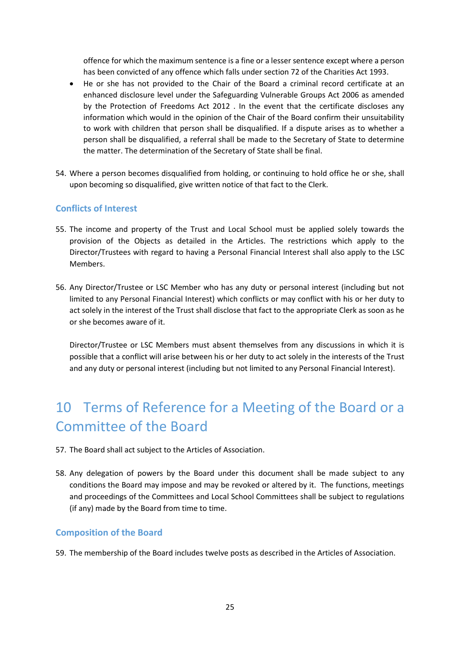offence for which the maximum sentence is a fine or a lesser sentence except where a person has been convicted of any offence which falls under section 72 of the Charities Act 1993.

- He or she has not provided to the Chair of the Board a criminal record certificate at an enhanced disclosure level under the Safeguarding Vulnerable Groups Act 2006 as amended by the Protection of Freedoms Act 2012 . In the event that the certificate discloses any information which would in the opinion of the Chair of the Board confirm their unsuitability to work with children that person shall be disqualified. If a dispute arises as to whether a person shall be disqualified, a referral shall be made to the Secretary of State to determine the matter. The determination of the Secretary of State shall be final.
- 54. Where a person becomes disqualified from holding, or continuing to hold office he or she, shall upon becoming so disqualified, give written notice of that fact to the Clerk.

### <span id="page-24-0"></span>**Conflicts of Interest**

- 55. The income and property of the Trust and Local School must be applied solely towards the provision of the Objects as detailed in the Articles. The restrictions which apply to the Director/Trustees with regard to having a Personal Financial Interest shall also apply to the LSC Members.
- 56. Any Director/Trustee or LSC Member who has any duty or personal interest (including but not limited to any Personal Financial Interest) which conflicts or may conflict with his or her duty to act solely in the interest of the Trust shall disclose that fact to the appropriate Clerk as soon as he or she becomes aware of it.

Director/Trustee or LSC Members must absent themselves from any discussions in which it is possible that a conflict will arise between his or her duty to act solely in the interests of the Trust and any duty or personal interest (including but not limited to any Personal Financial Interest).

# <span id="page-24-1"></span>10 Terms of Reference for a Meeting of the Board or a Committee of the Board

- 57. The Board shall act subject to the Articles of Association.
- 58. Any delegation of powers by the Board under this document shall be made subject to any conditions the Board may impose and may be revoked or altered by it. The functions, meetings and proceedings of the Committees and Local School Committees shall be subject to regulations (if any) made by the Board from time to time.

### <span id="page-24-2"></span>**Composition of the Board**

59. The membership of the Board includes twelve posts as described in the Articles of Association.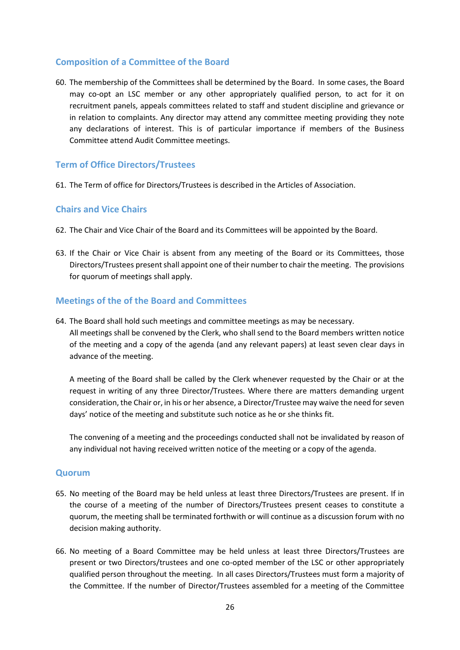### <span id="page-25-0"></span>**Composition of a Committee of the Board**

60. The membership of the Committees shall be determined by the Board. In some cases, the Board may co-opt an LSC member or any other appropriately qualified person, to act for it on recruitment panels, appeals committees related to staff and student discipline and grievance or in relation to complaints. Any director may attend any committee meeting providing they note any declarations of interest. This is of particular importance if members of the Business Committee attend Audit Committee meetings.

### <span id="page-25-1"></span>**Term of Office Directors/Trustees**

61. The Term of office for Directors/Trustees is described in the Articles of Association.

### <span id="page-25-2"></span>**Chairs and Vice Chairs**

- 62. The Chair and Vice Chair of the Board and its Committees will be appointed by the Board.
- 63. If the Chair or Vice Chair is absent from any meeting of the Board or its Committees, those Directors/Trustees present shall appoint one of their number to chair the meeting. The provisions for quorum of meetings shall apply.

### <span id="page-25-3"></span>**Meetings of the of the Board and Committees**

64. The Board shall hold such meetings and committee meetings as may be necessary. All meetings shall be convened by the Clerk, who shall send to the Board members written notice of the meeting and a copy of the agenda (and any relevant papers) at least seven clear days in advance of the meeting.

A meeting of the Board shall be called by the Clerk whenever requested by the Chair or at the request in writing of any three Director/Trustees. Where there are matters demanding urgent consideration, the Chair or, in his or her absence, a Director/Trustee may waive the need for seven days' notice of the meeting and substitute such notice as he or she thinks fit.

The convening of a meeting and the proceedings conducted shall not be invalidated by reason of any individual not having received written notice of the meeting or a copy of the agenda.

### <span id="page-25-4"></span>**Quorum**

- 65. No meeting of the Board may be held unless at least three Directors/Trustees are present. If in the course of a meeting of the number of Directors/Trustees present ceases to constitute a quorum, the meeting shall be terminated forthwith or will continue as a discussion forum with no decision making authority.
- 66. No meeting of a Board Committee may be held unless at least three Directors/Trustees are present or two Directors/trustees and one co-opted member of the LSC or other appropriately qualified person throughout the meeting. In all cases Directors/Trustees must form a majority of the Committee. If the number of Director/Trustees assembled for a meeting of the Committee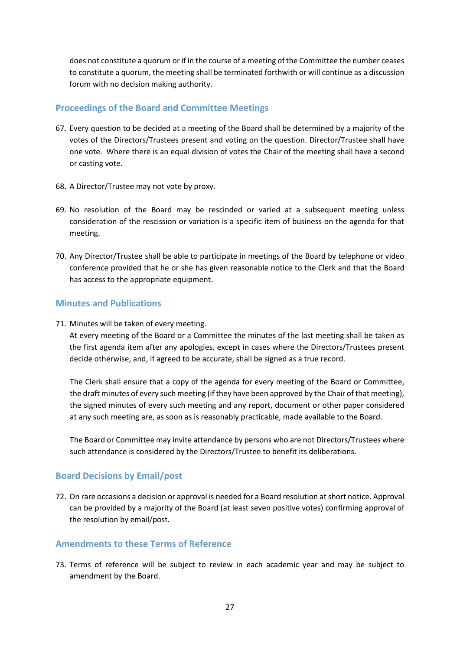does not constitute a quorum or if in the course of a meeting of the Committee the number ceases to constitute a quorum, the meeting shall be terminated forthwith or will continue as a discussion forum with no decision making authority.

### <span id="page-26-0"></span>**Proceedings of the Board and Committee Meetings**

- 67. Every question to be decided at a meeting of the Board shall be determined by a majority of the votes of the Directors/Trustees present and voting on the question. Director/Trustee shall have one vote. Where there is an equal division of votes the Chair of the meeting shall have a second or casting vote.
- 68. A Director/Trustee may not vote by proxy.
- 69. No resolution of the Board may be rescinded or varied at a subsequent meeting unless consideration of the rescission or variation is a specific item of business on the agenda for that meeting.
- 70. Any Director/Trustee shall be able to participate in meetings of the Board by telephone or video conference provided that he or she has given reasonable notice to the Clerk and that the Board has access to the appropriate equipment.

### <span id="page-26-1"></span>**Minutes and Publications**

71. Minutes will be taken of every meeting.

At every meeting of the Board or a Committee the minutes of the last meeting shall be taken as the first agenda item after any apologies, except in cases where the Directors/Trustees present decide otherwise, and, if agreed to be accurate, shall be signed as a true record.

The Clerk shall ensure that a copy of the agenda for every meeting of the Board or Committee, the draft minutes of every such meeting (if they have been approved by the Chair of that meeting), the signed minutes of every such meeting and any report, document or other paper considered at any such meeting are, as soon as is reasonably practicable, made available to the Board.

The Board or Committee may invite attendance by persons who are not Directors/Trustees where such attendance is considered by the Directors/Trustee to benefit its deliberations.

### <span id="page-26-2"></span>**Board Decisions by Email/post**

72. On rare occasions a decision or approval is needed for a Board resolution at short notice. Approval can be provided by a majority of the Board (at least seven positive votes) confirming approval of the resolution by email/post.

### <span id="page-26-3"></span>**Amendments to these Terms of Reference**

73. Terms of reference will be subject to review in each academic year and may be subject to amendment by the Board.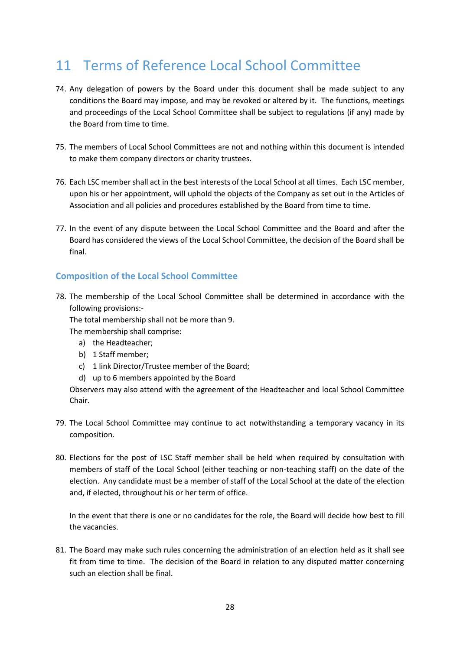# <span id="page-27-0"></span>11 Terms of Reference Local School Committee

- 74. Any delegation of powers by the Board under this document shall be made subject to any conditions the Board may impose, and may be revoked or altered by it. The functions, meetings and proceedings of the Local School Committee shall be subject to regulations (if any) made by the Board from time to time.
- 75. The members of Local School Committees are not and nothing within this document is intended to make them company directors or charity trustees.
- 76. Each LSC member shall act in the best interests of the Local School at all times. Each LSC member, upon his or her appointment, will uphold the objects of the Company as set out in the Articles of Association and all policies and procedures established by the Board from time to time.
- 77. In the event of any dispute between the Local School Committee and the Board and after the Board has considered the views of the Local School Committee, the decision of the Board shall be final.

### <span id="page-27-1"></span>**Composition of the Local School Committee**

78. The membership of the Local School Committee shall be determined in accordance with the following provisions:-

The total membership shall not be more than 9.

The membership shall comprise:

- a) the Headteacher;
- b) 1 Staff member;
- c) 1 link Director/Trustee member of the Board;
- d) up to 6 members appointed by the Board

Observers may also attend with the agreement of the Headteacher and local School Committee Chair.

- 79. The Local School Committee may continue to act notwithstanding a temporary vacancy in its composition.
- 80. Elections for the post of LSC Staff member shall be held when required by consultation with members of staff of the Local School (either teaching or non-teaching staff) on the date of the election. Any candidate must be a member of staff of the Local School at the date of the election and, if elected, throughout his or her term of office.

In the event that there is one or no candidates for the role, the Board will decide how best to fill the vacancies.

81. The Board may make such rules concerning the administration of an election held as it shall see fit from time to time. The decision of the Board in relation to any disputed matter concerning such an election shall be final.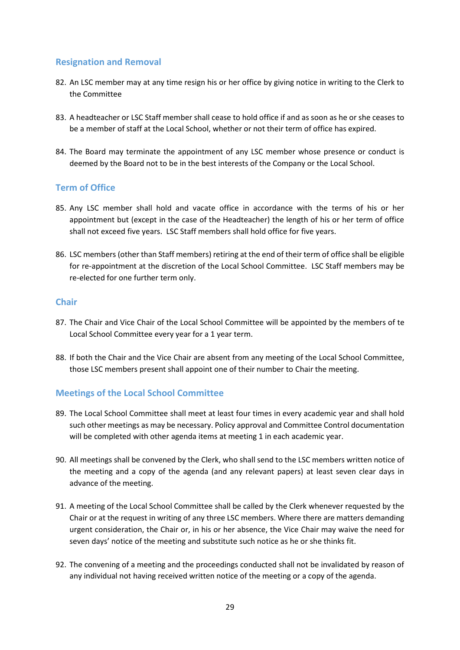### <span id="page-28-0"></span>**Resignation and Removal**

- 82. An LSC member may at any time resign his or her office by giving notice in writing to the Clerk to the Committee
- 83. A headteacher or LSC Staff member shall cease to hold office if and as soon as he or she ceases to be a member of staff at the Local School, whether or not their term of office has expired.
- 84. The Board may terminate the appointment of any LSC member whose presence or conduct is deemed by the Board not to be in the best interests of the Company or the Local School.

### <span id="page-28-1"></span>**Term of Office**

- 85. Any LSC member shall hold and vacate office in accordance with the terms of his or her appointment but (except in the case of the Headteacher) the length of his or her term of office shall not exceed five years. LSC Staff members shall hold office for five years.
- 86. LSC members (other than Staff members) retiring at the end of their term of office shall be eligible for re-appointment at the discretion of the Local School Committee. LSC Staff members may be re-elected for one further term only.

### <span id="page-28-2"></span>**Chair**

- 87. The Chair and Vice Chair of the Local School Committee will be appointed by the members of te Local School Committee every year for a 1 year term.
- 88. If both the Chair and the Vice Chair are absent from any meeting of the Local School Committee, those LSC members present shall appoint one of their number to Chair the meeting.

### <span id="page-28-3"></span>**Meetings of the Local School Committee**

- 89. The Local School Committee shall meet at least four times in every academic year and shall hold such other meetings as may be necessary. Policy approval and Committee Control documentation will be completed with other agenda items at meeting 1 in each academic year.
- 90. All meetings shall be convened by the Clerk, who shall send to the LSC members written notice of the meeting and a copy of the agenda (and any relevant papers) at least seven clear days in advance of the meeting.
- 91. A meeting of the Local School Committee shall be called by the Clerk whenever requested by the Chair or at the request in writing of any three LSC members. Where there are matters demanding urgent consideration, the Chair or, in his or her absence, the Vice Chair may waive the need for seven days' notice of the meeting and substitute such notice as he or she thinks fit.
- 92. The convening of a meeting and the proceedings conducted shall not be invalidated by reason of any individual not having received written notice of the meeting or a copy of the agenda.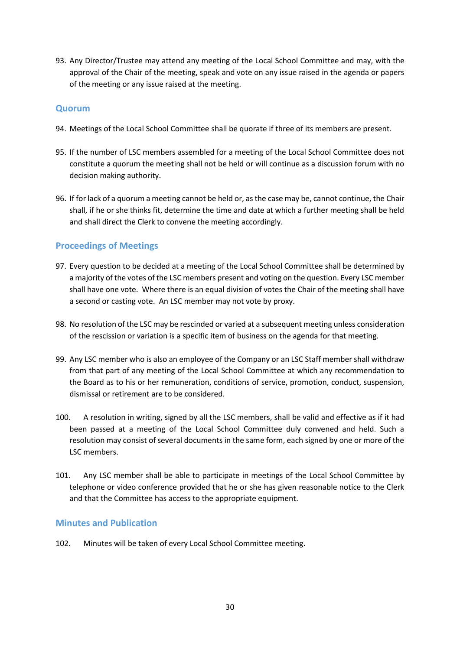93. Any Director/Trustee may attend any meeting of the Local School Committee and may, with the approval of the Chair of the meeting, speak and vote on any issue raised in the agenda or papers of the meeting or any issue raised at the meeting.

### <span id="page-29-0"></span>**Quorum**

- 94. Meetings of the Local School Committee shall be quorate if three of its members are present.
- 95. If the number of LSC members assembled for a meeting of the Local School Committee does not constitute a quorum the meeting shall not be held or will continue as a discussion forum with no decision making authority.
- 96. If for lack of a quorum a meeting cannot be held or, as the case may be, cannot continue, the Chair shall, if he or she thinks fit, determine the time and date at which a further meeting shall be held and shall direct the Clerk to convene the meeting accordingly.

### <span id="page-29-1"></span>**Proceedings of Meetings**

- 97. Every question to be decided at a meeting of the Local School Committee shall be determined by a majority of the votes of the LSC members present and voting on the question. Every LSC member shall have one vote. Where there is an equal division of votes the Chair of the meeting shall have a second or casting vote. An LSC member may not vote by proxy.
- 98. No resolution of the LSC may be rescinded or varied at a subsequent meeting unless consideration of the rescission or variation is a specific item of business on the agenda for that meeting.
- 99. Any LSC member who is also an employee of the Company or an LSC Staff member shall withdraw from that part of any meeting of the Local School Committee at which any recommendation to the Board as to his or her remuneration, conditions of service, promotion, conduct, suspension, dismissal or retirement are to be considered.
- 100. A resolution in writing, signed by all the LSC members, shall be valid and effective as if it had been passed at a meeting of the Local School Committee duly convened and held. Such a resolution may consist of several documents in the same form, each signed by one or more of the LSC members.
- 101. Any LSC member shall be able to participate in meetings of the Local School Committee by telephone or video conference provided that he or she has given reasonable notice to the Clerk and that the Committee has access to the appropriate equipment.

### <span id="page-29-2"></span>**Minutes and Publication**

102. Minutes will be taken of every Local School Committee meeting.